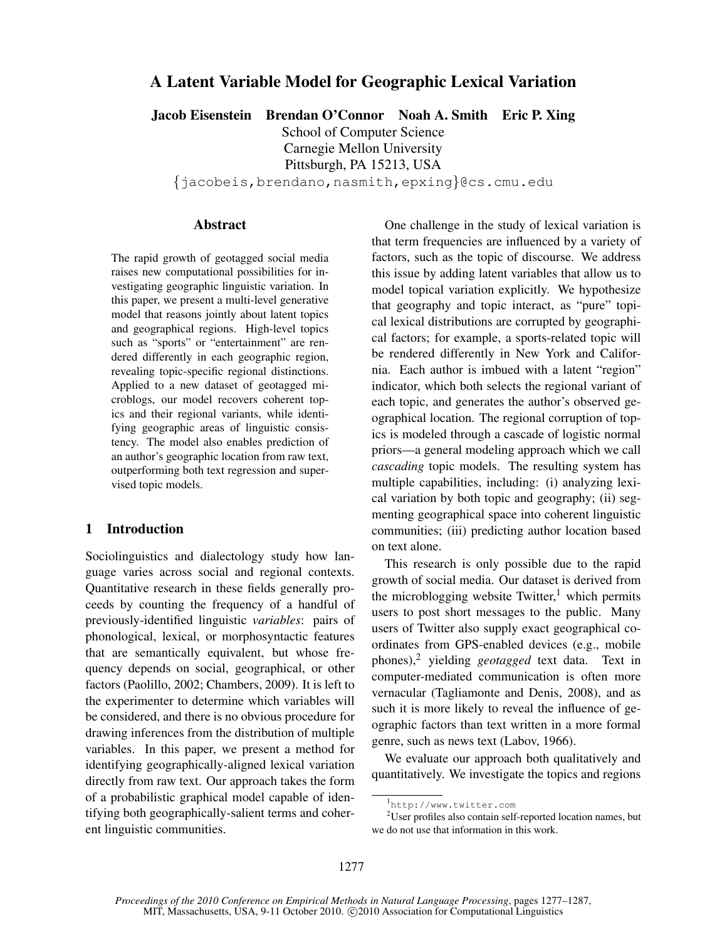# A Latent Variable Model for Geographic Lexical Variation

Jacob Eisenstein Brendan O'Connor Noah A. Smith Eric P. Xing

School of Computer Science Carnegie Mellon University

Pittsburgh, PA 15213, USA

{jacobeis,brendano,nasmith,epxing}@cs.cmu.edu

## Abstract

The rapid growth of geotagged social media raises new computational possibilities for investigating geographic linguistic variation. In this paper, we present a multi-level generative model that reasons jointly about latent topics and geographical regions. High-level topics such as "sports" or "entertainment" are rendered differently in each geographic region, revealing topic-specific regional distinctions. Applied to a new dataset of geotagged microblogs, our model recovers coherent topics and their regional variants, while identifying geographic areas of linguistic consistency. The model also enables prediction of an author's geographic location from raw text, outperforming both text regression and supervised topic models.

# 1 Introduction

Sociolinguistics and dialectology study how language varies across social and regional contexts. Quantitative research in these fields generally proceeds by counting the frequency of a handful of previously-identified linguistic *variables*: pairs of phonological, lexical, or morphosyntactic features that are semantically equivalent, but whose frequency depends on social, geographical, or other factors (Paolillo, 2002; Chambers, 2009). It is left to the experimenter to determine which variables will be considered, and there is no obvious procedure for drawing inferences from the distribution of multiple variables. In this paper, we present a method for identifying geographically-aligned lexical variation directly from raw text. Our approach takes the form of a probabilistic graphical model capable of identifying both geographically-salient terms and coherent linguistic communities.

One challenge in the study of lexical variation is that term frequencies are influenced by a variety of factors, such as the topic of discourse. We address this issue by adding latent variables that allow us to model topical variation explicitly. We hypothesize that geography and topic interact, as "pure" topical lexical distributions are corrupted by geographical factors; for example, a sports-related topic will be rendered differently in New York and California. Each author is imbued with a latent "region" indicator, which both selects the regional variant of each topic, and generates the author's observed geographical location. The regional corruption of topics is modeled through a cascade of logistic normal priors—a general modeling approach which we call *cascading* topic models. The resulting system has multiple capabilities, including: (i) analyzing lexical variation by both topic and geography; (ii) segmenting geographical space into coherent linguistic communities; (iii) predicting author location based on text alone.

This research is only possible due to the rapid growth of social media. Our dataset is derived from the microblogging website Twitter,<sup>1</sup> which permits users to post short messages to the public. Many users of Twitter also supply exact geographical coordinates from GPS-enabled devices (e.g., mobile phones),<sup>2</sup> yielding *geotagged* text data. Text in computer-mediated communication is often more vernacular (Tagliamonte and Denis, 2008), and as such it is more likely to reveal the influence of geographic factors than text written in a more formal genre, such as news text (Labov, 1966).

We evaluate our approach both qualitatively and quantitatively. We investigate the topics and regions

<sup>1</sup> http://www.twitter.com

<sup>&</sup>lt;sup>2</sup>User profiles also contain self-reported location names, but we do not use that information in this work.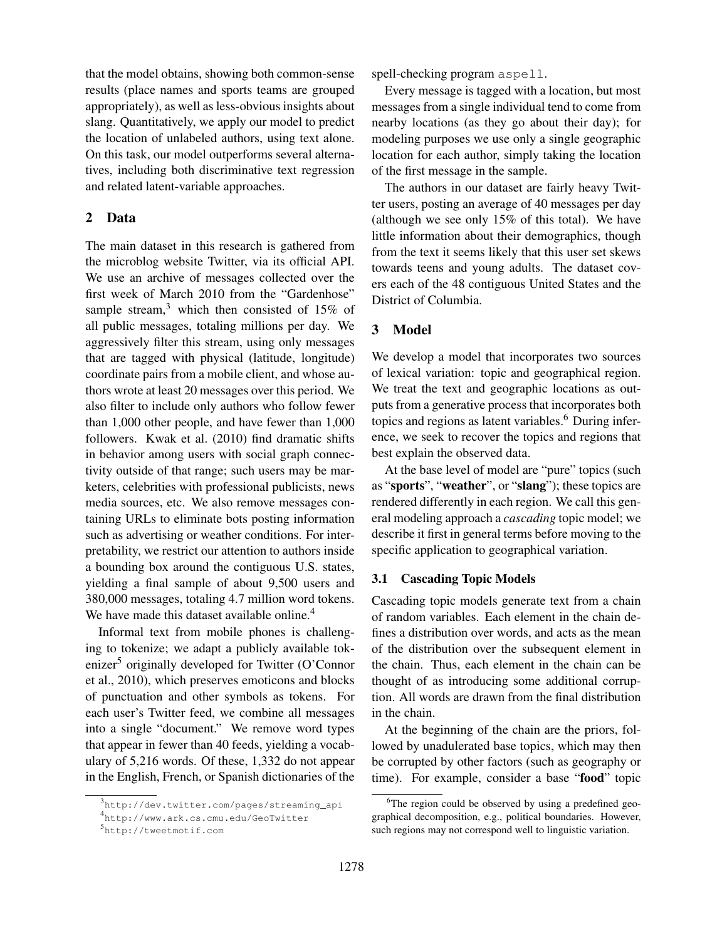that the model obtains, showing both common-sense results (place names and sports teams are grouped appropriately), as well as less-obvious insights about slang. Quantitatively, we apply our model to predict the location of unlabeled authors, using text alone. On this task, our model outperforms several alternatives, including both discriminative text regression and related latent-variable approaches.

# 2 Data

The main dataset in this research is gathered from the microblog website Twitter, via its official API. We use an archive of messages collected over the first week of March 2010 from the "Gardenhose" sample stream, $3$  which then consisted of 15% of all public messages, totaling millions per day. We aggressively filter this stream, using only messages that are tagged with physical (latitude, longitude) coordinate pairs from a mobile client, and whose authors wrote at least 20 messages over this period. We also filter to include only authors who follow fewer than 1,000 other people, and have fewer than 1,000 followers. Kwak et al. (2010) find dramatic shifts in behavior among users with social graph connectivity outside of that range; such users may be marketers, celebrities with professional publicists, news media sources, etc. We also remove messages containing URLs to eliminate bots posting information such as advertising or weather conditions. For interpretability, we restrict our attention to authors inside a bounding box around the contiguous U.S. states, yielding a final sample of about 9,500 users and 380,000 messages, totaling 4.7 million word tokens. We have made this dataset available online.<sup>4</sup>

Informal text from mobile phones is challenging to tokenize; we adapt a publicly available tokenizer<sup>5</sup> originally developed for Twitter (O'Connor et al., 2010), which preserves emoticons and blocks of punctuation and other symbols as tokens. For each user's Twitter feed, we combine all messages into a single "document." We remove word types that appear in fewer than 40 feeds, yielding a vocabulary of 5,216 words. Of these, 1,332 do not appear in the English, French, or Spanish dictionaries of the

spell-checking program aspell.

Every message is tagged with a location, but most messages from a single individual tend to come from nearby locations (as they go about their day); for modeling purposes we use only a single geographic location for each author, simply taking the location of the first message in the sample.

The authors in our dataset are fairly heavy Twitter users, posting an average of 40 messages per day (although we see only 15% of this total). We have little information about their demographics, though from the text it seems likely that this user set skews towards teens and young adults. The dataset covers each of the 48 contiguous United States and the District of Columbia.

## 3 Model

We develop a model that incorporates two sources of lexical variation: topic and geographical region. We treat the text and geographic locations as outputs from a generative process that incorporates both topics and regions as latent variables.<sup>6</sup> During inference, we seek to recover the topics and regions that best explain the observed data.

At the base level of model are "pure" topics (such as "sports", "weather", or "slang"); these topics are rendered differently in each region. We call this general modeling approach a *cascading* topic model; we describe it first in general terms before moving to the specific application to geographical variation.

## 3.1 Cascading Topic Models

Cascading topic models generate text from a chain of random variables. Each element in the chain defines a distribution over words, and acts as the mean of the distribution over the subsequent element in the chain. Thus, each element in the chain can be thought of as introducing some additional corruption. All words are drawn from the final distribution in the chain.

At the beginning of the chain are the priors, followed by unadulerated base topics, which may then be corrupted by other factors (such as geography or time). For example, consider a base "food" topic

<sup>3</sup> http://dev.twitter.com/pages/streaming\_api

<sup>4</sup> http://www.ark.cs.cmu.edu/GeoTwitter

<sup>5</sup> http://tweetmotif.com

<sup>&</sup>lt;sup>6</sup>The region could be observed by using a predefined geographical decomposition, e.g., political boundaries. However, such regions may not correspond well to linguistic variation.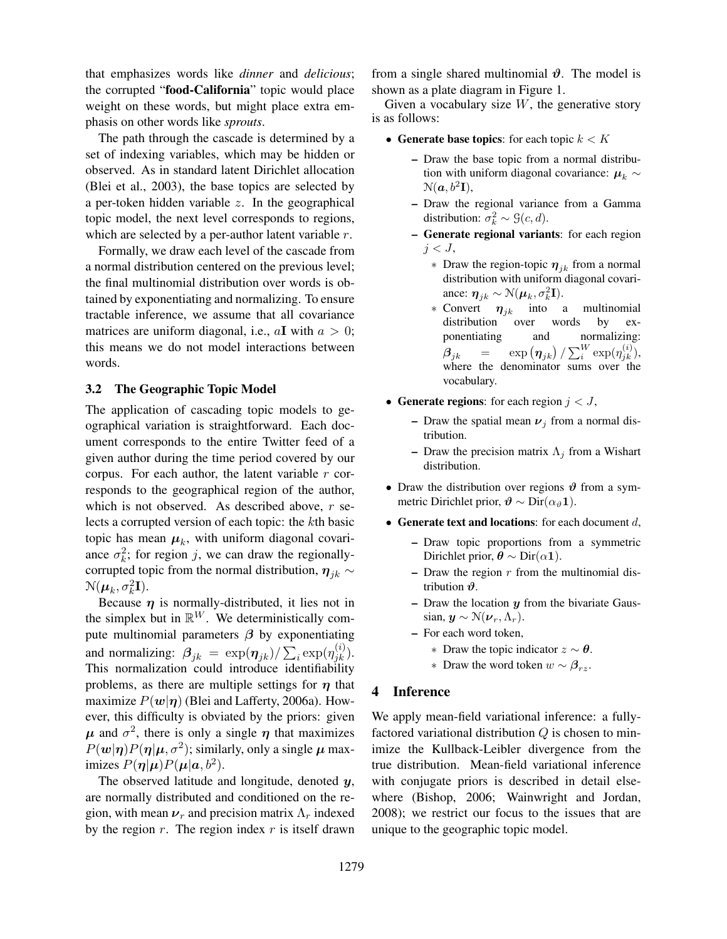that emphasizes words like *dinner* and *delicious*; the corrupted "food-California" topic would place weight on these words, but might place extra emphasis on other words like *sprouts*.

The path through the cascade is determined by a set of indexing variables, which may be hidden or observed. As in standard latent Dirichlet allocation (Blei et al., 2003), the base topics are selected by a per-token hidden variable  $z$ . In the geographical topic model, the next level corresponds to regions, which are selected by a per-author latent variable r.

Formally, we draw each level of the cascade from a normal distribution centered on the previous level; the final multinomial distribution over words is obtained by exponentiating and normalizing. To ensure tractable inference, we assume that all covariance matrices are uniform diagonal, i.e.,  $aI$  with  $a > 0$ ; this means we do not model interactions between words.

## 3.2 The Geographic Topic Model

The application of cascading topic models to geographical variation is straightforward. Each document corresponds to the entire Twitter feed of a given author during the time period covered by our corpus. For each author, the latent variable  $r$  corresponds to the geographical region of the author, which is not observed. As described above,  $r$  selects a corrupted version of each topic: the kth basic topic has mean  $\mu_k$ , with uniform diagonal covariance  $\sigma_k^2$ ; for region j, we can draw the regionallycorrupted topic from the normal distribution,  $\eta_{jk} \sim$  $\mathcal{N}(\boldsymbol{\mu}_k, \sigma_k^2 \mathbf{I}).$ 

Because  $\eta$  is normally-distributed, it lies not in the simplex but in  $\mathbb{R}^W$ . We deterministically compute multinomial parameters  $\beta$  by exponentiating and normalizing:  $\beta_{jk} = \exp(\eta_{jk})/\sum_i \exp(\eta_{jk}^{(i)}).$ This normalization could introduce identifiability problems, as there are multiple settings for  $\eta$  that maximize  $P(w|\eta)$  (Blei and Lafferty, 2006a). However, this difficulty is obviated by the priors: given  $\mu$  and  $\sigma^2$ , there is only a single  $\eta$  that maximizes  $P(w|\eta)P(\eta|\mu, \sigma^2)$ ; similarly, only a single  $\mu$  maximizes  $P(\eta | \mu) P(\mu | a, b^2)$ .

The observed latitude and longitude, denoted y, are normally distributed and conditioned on the region, with mean  $\nu_r$  and precision matrix  $\Lambda_r$  indexed by the region  $r$ . The region index  $r$  is itself drawn from a single shared multinomial  $\vartheta$ . The model is shown as a plate diagram in Figure 1.

Given a vocabulary size  $W$ , the generative story is as follows:

- Generate base topics: for each topic  $k < K$ 
	- Draw the base topic from a normal distribution with uniform diagonal covariance:  $\mu_k \sim$  $\mathcal{N}(\boldsymbol{a},b^2\mathbf{I}),$
	- Draw the regional variance from a Gamma distribution:  $\sigma_k^2 \sim \mathcal{G}(c, d)$ .
	- Generate regional variants: for each region  $j < J$ ,
		- ∗ Draw the region-topic  $η<sub>ik</sub>$  from a normal distribution with uniform diagonal covariance:  $\eta_{jk} \sim \mathcal{N}(\mu_k, \sigma_k^2 \mathbf{I}).$
		- $∗$  Convert  $η_{jk}$  into a multinomial distribution over words by exdistribution over words by exponentiating and normalizing:  $\boldsymbol{\beta}_{jk} \quad \; = \quad \; \exp \left( \boldsymbol{\eta}_{jk} \right) / \sum_i^W \exp ( \eta^{(i)}_{jk} ),$ where the denominator sums over the vocabulary.
- Generate regions: for each region  $j < J$ ,
	- Draw the spatial mean  $\nu_j$  from a normal distribution.
	- Draw the precision matrix  $\Lambda_i$  from a Wishart distribution.
- Draw the distribution over regions  $\vartheta$  from a symmetric Dirichlet prior,  $\mathbf{\vartheta} \sim \text{Dir}(\alpha_{\vartheta} \mathbf{1}).$
- Generate text and locations: for each document  $d$ ,
	- Draw topic proportions from a symmetric Dirichlet prior,  $\theta \sim \text{Dir}(\alpha \mathbf{1})$ .
	- $-$  Draw the region  $r$  from the multinomial distribution  $\vartheta$ .
	- Draw the location  $y$  from the bivariate Gaussian,  $y \sim \mathcal{N}(\boldsymbol{\nu}_r, \Lambda_r)$ .
	- For each word token,
		- ∗ Draw the topic indicator  $z \sim \theta$ .
		- ∗ Draw the word token  $w \sim \beta_{rz}$ .

### 4 Inference

We apply mean-field variational inference: a fullyfactored variational distribution Q is chosen to minimize the Kullback-Leibler divergence from the true distribution. Mean-field variational inference with conjugate priors is described in detail elsewhere (Bishop, 2006; Wainwright and Jordan, 2008); we restrict our focus to the issues that are unique to the geographic topic model.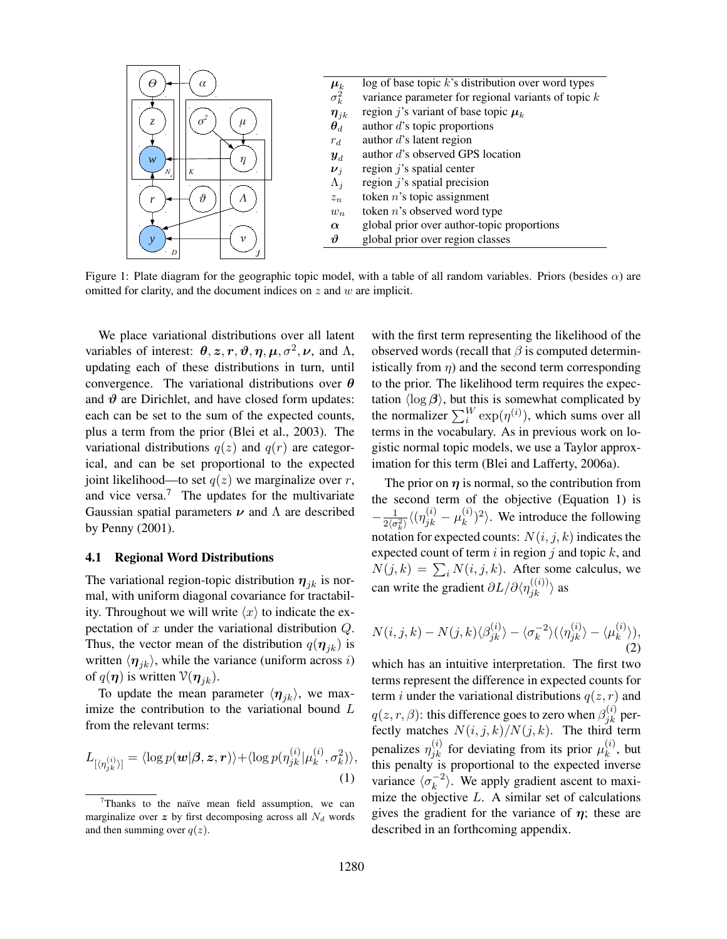

Figure 1: Plate diagram for the geographic topic model, with a table of all random variables. Priors (besides  $\alpha$ ) are omitted for clarity, and the document indices on z and w are implicit.

We place variational distributions over all latent variables of interest:  $\theta$ , z, r,  $\theta$ ,  $\eta$ ,  $\mu$ ,  $\sigma^2$ ,  $\nu$ , and  $\Lambda$ , updating each of these distributions in turn, until convergence. The variational distributions over  $\theta$ and  $\vartheta$  are Dirichlet, and have closed form updates: each can be set to the sum of the expected counts, plus a term from the prior (Blei et al., 2003). The variational distributions  $q(z)$  and  $q(r)$  are categorical, and can be set proportional to the expected joint likelihood—to set  $q(z)$  we marginalize over r, and vice versa. $<sup>7</sup>$  The updates for the multivariate</sup> Gaussian spatial parameters  $\nu$  and  $\Lambda$  are described by Penny (2001).

### 4.1 Regional Word Distributions

The variational region-topic distribution  $\eta_{jk}$  is normal, with uniform diagonal covariance for tractability. Throughout we will write  $\langle x \rangle$  to indicate the expectation of  $x$  under the variational distribution  $Q$ . Thus, the vector mean of the distribution  $q(\eta_{jk})$  is written  $\langle \eta_{ik} \rangle$ , while the variance (uniform across i) of  $q(\eta)$  is written  $\mathcal{V}(\eta_{jk})$ .

To update the mean parameter  $\langle \eta_{ik} \rangle$ , we maximize the contribution to the variational bound L from the relevant terms:

$$
L_{\left[\langle \eta_{jk}^{(i)} \rangle\right]} = \langle \log p(\boldsymbol{w}|\boldsymbol{\beta}, \boldsymbol{z}, \boldsymbol{r}) \rangle + \langle \log p(\eta_{jk}^{(i)}|\mu_k^{(i)}, \sigma_k^2) \rangle, \tag{1}
$$

with the first term representing the likelihood of the observed words (recall that  $\beta$  is computed deterministically from  $\eta$ ) and the second term corresponding to the prior. The likelihood term requires the expectation  $\langle \log \beta \rangle$ , but this is somewhat complicated by the normalizer  $\sum_{i}^{W} \exp(\eta^{(i)})$ , which sums over all terms in the vocabulary. As in previous work on logistic normal topic models, we use a Taylor approximation for this term (Blei and Lafferty, 2006a).

The prior on  $\eta$  is normal, so the contribution from the second term of the objective (Equation 1) is  $-\frac{1}{2\sqrt{2}}$  $\frac{1}{2\langle \sigma _{k}^{2}\rangle}\langle (\eta _{jk}^{(i)}-\mu _{k}^{(i)}% )|\langle \sigma _{jk}^{(i)}-\mu _{j}^{(i)}\rangle \rangle _{k}$  $\binom{(i)}{k}^2$ . We introduce the following notation for expected counts:  $N(i, j, k)$  indicates the expected count of term  $i$  in region  $j$  and topic  $k$ , and  $N(j,k) = \sum_i N(i, j, k)$ . After some calculus, we can write the gradient  $\partial L/\partial \langle \eta_{jk}^{((i))}\rangle$  as

$$
N(i,j,k) - N(j,k)\langle \beta_{jk}^{(i)} \rangle - \langle \sigma_k^{-2} \rangle (\langle \eta_{jk}^{(i)} \rangle - \langle \mu_k^{(i)} \rangle),
$$
\n(2)

which has an intuitive interpretation. The first two terms represent the difference in expected counts for term *i* under the variational distributions  $q(z, r)$  and  $q(z,r,\beta)$ : this difference goes to zero when  $\beta^{(i)}_{jk}$  perfectly matches  $N(i, j, k) / N(j, k)$ . The third term penalizes  $\eta_{jk}^{(i)}$  for deviating from its prior  $\mu_k^{(i)}$  $\binom{u}{k}$ , but this penalty is proportional to the expected inverse variance  $\langle \sigma_k^{-2} \rangle$  $\langle k^{-2} \rangle$ . We apply gradient ascent to maximize the objective  $L$ . A similar set of calculations gives the gradient for the variance of  $\eta$ ; these are described in an forthcoming appendix.

 $7$ Thanks to the naïve mean field assumption, we can marginalize over z by first decomposing across all  $N_d$  words and then summing over  $q(z)$ .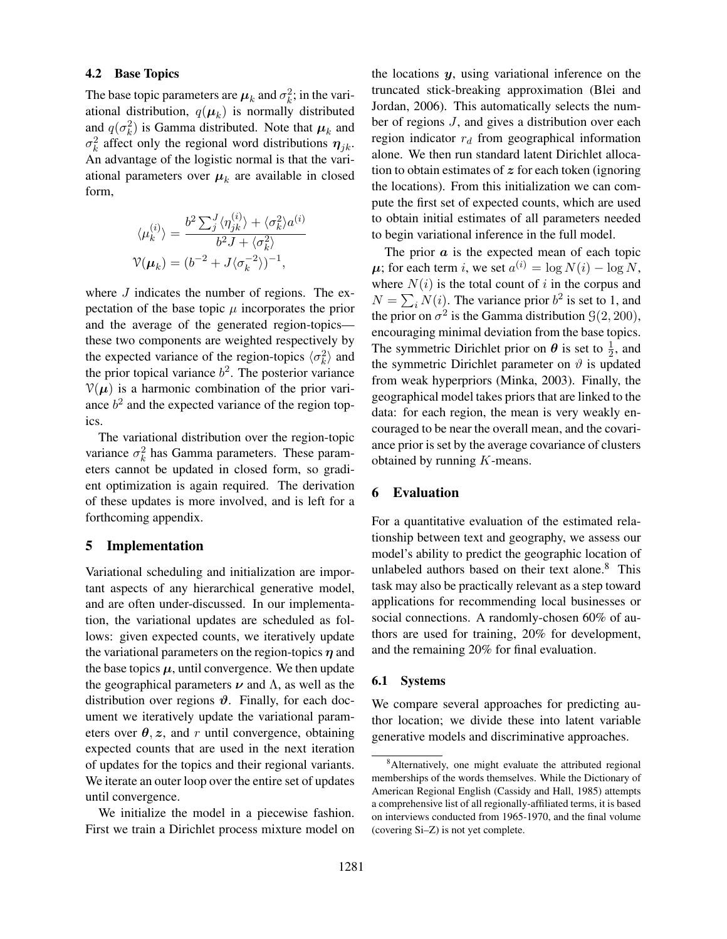#### 4.2 Base Topics

The base topic parameters are  $\mu_k$  and  $\sigma_k^2$ ; in the variational distribution,  $q(\boldsymbol{\mu}_k)$  is normally distributed and  $q(\sigma_k^2)$  is Gamma distributed. Note that  $\mu_k$  and  $\sigma_k^2$  affect only the regional word distributions  $\eta_{jk}$ . An advantage of the logistic normal is that the variational parameters over  $\mu_k$  are available in closed form,

$$
\langle \mu_k^{(i)} \rangle = \frac{b^2 \sum_j^J \langle \eta_{jk}^{(i)} \rangle + \langle \sigma_k^2 \rangle a^{(i)}}{b^2 J + \langle \sigma_k^2 \rangle}
$$
  

$$
\mathcal{V}(\mu_k) = (b^{-2} + J \langle \sigma_k^{-2} \rangle)^{-1},
$$

where  $J$  indicates the number of regions. The expectation of the base topic  $\mu$  incorporates the prior and the average of the generated region-topics these two components are weighted respectively by the expected variance of the region-topics  $\langle \sigma_k^2 \rangle$  and the prior topical variance  $b^2$ . The posterior variance  $V(\mu)$  is a harmonic combination of the prior variance  $b<sup>2</sup>$  and the expected variance of the region topics.

The variational distribution over the region-topic variance  $\sigma_k^2$  has Gamma parameters. These parameters cannot be updated in closed form, so gradient optimization is again required. The derivation of these updates is more involved, and is left for a forthcoming appendix.

### 5 Implementation

Variational scheduling and initialization are important aspects of any hierarchical generative model, and are often under-discussed. In our implementation, the variational updates are scheduled as follows: given expected counts, we iteratively update the variational parameters on the region-topics  $\eta$  and the base topics  $\mu$ , until convergence. We then update the geographical parameters  $\nu$  and  $\Lambda$ , as well as the distribution over regions  $\vartheta$ . Finally, for each document we iteratively update the variational parameters over  $\theta$ , z, and r until convergence, obtaining expected counts that are used in the next iteration of updates for the topics and their regional variants. We iterate an outer loop over the entire set of updates until convergence.

We initialize the model in a piecewise fashion. First we train a Dirichlet process mixture model on the locations  $y$ , using variational inference on the truncated stick-breaking approximation (Blei and Jordan, 2006). This automatically selects the number of regions J, and gives a distribution over each region indicator  $r_d$  from geographical information alone. We then run standard latent Dirichlet allocation to obtain estimates of  $z$  for each token (ignoring the locations). From this initialization we can compute the first set of expected counts, which are used to obtain initial estimates of all parameters needed to begin variational inference in the full model.

The prior  $\alpha$  is the expected mean of each topic  $\mu$ ; for each term i, we set  $a^{(i)} = \log N(i) - \log N$ , where  $N(i)$  is the total count of i in the corpus and  $N = \sum_i N(i)$ . The variance prior  $b^2$  is set to 1, and the prior on  $\sigma^2$  is the Gamma distribution  $\mathcal{G}(2, 200)$ , encouraging minimal deviation from the base topics. The symmetric Dirichlet prior on  $\theta$  is set to  $\frac{1}{2}$ , and the symmetric Dirichlet parameter on  $\vartheta$  is updated from weak hyperpriors (Minka, 2003). Finally, the geographical model takes priors that are linked to the data: for each region, the mean is very weakly encouraged to be near the overall mean, and the covariance prior is set by the average covariance of clusters obtained by running K-means.

## 6 Evaluation

For a quantitative evaluation of the estimated relationship between text and geography, we assess our model's ability to predict the geographic location of unlabeled authors based on their text alone. $8$  This task may also be practically relevant as a step toward applications for recommending local businesses or social connections. A randomly-chosen 60% of authors are used for training, 20% for development, and the remaining 20% for final evaluation.

#### 6.1 Systems

We compare several approaches for predicting author location; we divide these into latent variable generative models and discriminative approaches.

<sup>&</sup>lt;sup>8</sup>Alternatively, one might evaluate the attributed regional memberships of the words themselves. While the Dictionary of American Regional English (Cassidy and Hall, 1985) attempts a comprehensive list of all regionally-affiliated terms, it is based on interviews conducted from 1965-1970, and the final volume (covering Si–Z) is not yet complete.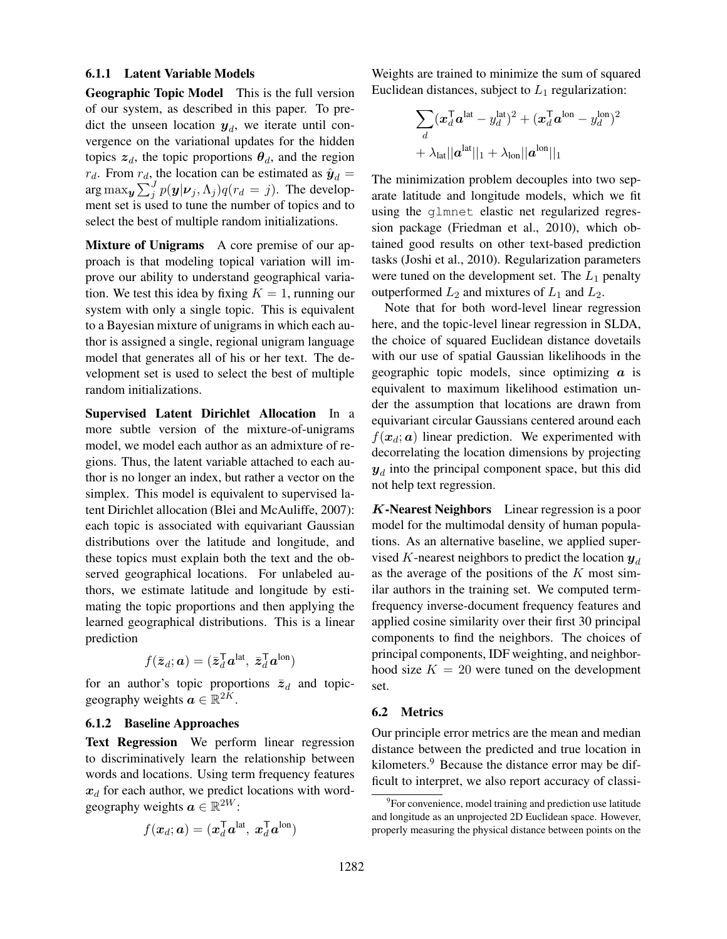### 6.1.1 Latent Variable Models

Geographic Topic Model This is the full version of our system, as described in this paper. To predict the unseen location  $y_d$ , we iterate until convergence on the variational updates for the hidden topics  $z_d$ , the topic proportions  $\theta_d$ , and the region  $r_d$ . From  $r_d$ , the location can be estimated as  $\hat{\mathbf{y}}_d =$  $\arg \max_{\mathbf{y}} \sum_{j}^{J} p(\mathbf{y} | \mathbf{\nu}_j, \Lambda_j) q(r_d = j)$ . The development set is used to tune the number of topics and to select the best of multiple random initializations.

Mixture of Unigrams A core premise of our approach is that modeling topical variation will improve our ability to understand geographical variation. We test this idea by fixing  $K = 1$ , running our system with only a single topic. This is equivalent to a Bayesian mixture of unigrams in which each author is assigned a single, regional unigram language model that generates all of his or her text. The development set is used to select the best of multiple random initializations.

Supervised Latent Dirichlet Allocation In a more subtle version of the mixture-of-unigrams model, we model each author as an admixture of regions. Thus, the latent variable attached to each author is no longer an index, but rather a vector on the simplex. This model is equivalent to supervised latent Dirichlet allocation (Blei and McAuliffe, 2007): each topic is associated with equivariant Gaussian distributions over the latitude and longitude, and these topics must explain both the text and the observed geographical locations. For unlabeled authors, we estimate latitude and longitude by estimating the topic proportions and then applying the learned geographical distributions. This is a linear prediction

$$
f(\bar{\boldsymbol{z}}_d; \boldsymbol{a}) = (\bar{\boldsymbol{z}}_d^{\mathsf{T}} \boldsymbol{a}^{\text{lat}}, \ \bar{\boldsymbol{z}}_d^{\mathsf{T}} \boldsymbol{a}^{\text{lon}})
$$

for an author's topic proportions  $\bar{z}_d$  and topicgeography weights  $a \in \mathbb{R}^{2K}$ .

# 6.1.2 Baseline Approaches

Text Regression We perform linear regression to discriminatively learn the relationship between words and locations. Using term frequency features  $x_d$  for each author, we predict locations with wordgeography weights  $a \in \mathbb{R}^{2W}$ :

$$
f(\boldsymbol{x}_d; \boldsymbol{a}) = (\boldsymbol{x}_d^{\mathsf{T}} \boldsymbol{a}^{\text{lat}}, \ \boldsymbol{x}_d^{\mathsf{T}} \boldsymbol{a}^{\text{lon}})
$$

Weights are trained to minimize the sum of squared Euclidean distances, subject to  $L_1$  regularization:

$$
\sum_{d} (\boldsymbol{x}_{d}^{\mathsf{T}} \boldsymbol{a}^{\mathsf{lat}} - y_{d}^{\mathsf{lat}})^{2} + (\boldsymbol{x}_{d}^{\mathsf{T}} \boldsymbol{a}^{\mathsf{lon}} - y_{d}^{\mathsf{lon}})^{2} + \lambda_{\mathsf{lat}} ||\boldsymbol{a}^{\mathsf{lat}}||_{1} + \lambda_{\mathsf{lon}} ||\boldsymbol{a}^{\mathsf{lon}}||_{1}
$$

The minimization problem decouples into two separate latitude and longitude models, which we fit using the glmnet elastic net regularized regression package (Friedman et al., 2010), which obtained good results on other text-based prediction tasks (Joshi et al., 2010). Regularization parameters were tuned on the development set. The  $L_1$  penalty outperformed  $L_2$  and mixtures of  $L_1$  and  $L_2$ .

Note that for both word-level linear regression here, and the topic-level linear regression in SLDA, the choice of squared Euclidean distance dovetails with our use of spatial Gaussian likelihoods in the geographic topic models, since optimizing  $\alpha$  is equivalent to maximum likelihood estimation under the assumption that locations are drawn from equivariant circular Gaussians centered around each  $f(\mathbf{x}_d; \mathbf{a})$  linear prediction. We experimented with decorrelating the location dimensions by projecting  $y_d$  into the principal component space, but this did not help text regression.

K-Nearest Neighbors Linear regression is a poor model for the multimodal density of human populations. As an alternative baseline, we applied supervised K-nearest neighbors to predict the location  $y_d$ as the average of the positions of the  $K$  most similar authors in the training set. We computed termfrequency inverse-document frequency features and applied cosine similarity over their first 30 principal components to find the neighbors. The choices of principal components, IDF weighting, and neighborhood size  $K = 20$  were tuned on the development set.

#### 6.2 Metrics

Our principle error metrics are the mean and median distance between the predicted and true location in kilometers.<sup>9</sup> Because the distance error may be difficult to interpret, we also report accuracy of classi-

<sup>&</sup>lt;sup>9</sup>For convenience, model training and prediction use latitude and longitude as an unprojected 2D Euclidean space. However, properly measuring the physical distance between points on the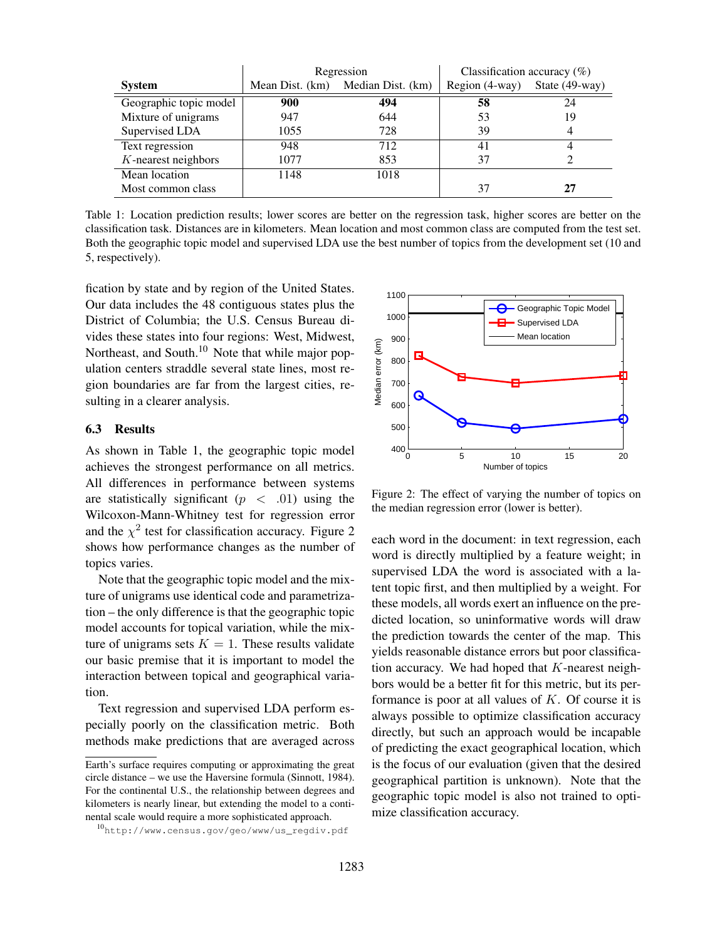|                        |                 | Regression        | Classification accuracy $(\%)$ |                   |  |
|------------------------|-----------------|-------------------|--------------------------------|-------------------|--|
| <b>System</b>          | Mean Dist. (km) | Median Dist. (km) | Region (4-way)                 | State $(49$ -way) |  |
| Geographic topic model | 900             | 494               | 58                             | 24                |  |
| Mixture of unigrams    | 947             | 644               | 53                             | 19                |  |
| Supervised LDA         | 1055            | 728               | 39                             | 4                 |  |
| Text regression        | 948             | 712               | 41                             |                   |  |
| $K$ -nearest neighbors | 1077            | 853               | 37                             |                   |  |
| Mean location          | 1148            | 1018              |                                |                   |  |
| Most common class      |                 |                   | 37                             | 27                |  |

Table 1: Location prediction results; lower scores are better on the regression task, higher scores are better on the classification task. Distances are in kilometers. Mean location and most common class are computed from the test set. Both the geographic topic model and supervised LDA use the best number of topics from the development set (10 and 5, respectively).

fication by state and by region of the United States. Our data includes the 48 contiguous states plus the District of Columbia; the U.S. Census Bureau divides these states into four regions: West, Midwest, Northeast, and South.<sup>10</sup> Note that while major population centers straddle several state lines, most region boundaries are far from the largest cities, resulting in a clearer analysis.

## 6.3 Results

As shown in Table 1, the geographic topic model achieves the strongest performance on all metrics. All differences in performance between systems are statistically significant ( $p < .01$ ) using the Wilcoxon-Mann-Whitney test for regression error and the  $\chi^2$  test for classification accuracy. Figure 2 shows how performance changes as the number of topics varies.

Note that the geographic topic model and the mixture of unigrams use identical code and parametrization – the only difference is that the geographic topic model accounts for topical variation, while the mixture of unigrams sets  $K = 1$ . These results validate our basic premise that it is important to model the interaction between topical and geographical variation.

Text regression and supervised LDA perform especially poorly on the classification metric. Both methods make predictions that are averaged across



Figure 2: The effect of varying the number of topics on the median regression error (lower is better).

each word in the document: in text regression, each word is directly multiplied by a feature weight; in supervised LDA the word is associated with a latent topic first, and then multiplied by a weight. For these models, all words exert an influence on the predicted location, so uninformative words will draw the prediction towards the center of the map. This yields reasonable distance errors but poor classification accuracy. We had hoped that  $K$ -nearest neighbors would be a better fit for this metric, but its performance is poor at all values of  $K$ . Of course it is always possible to optimize classification accuracy directly, but such an approach would be incapable of predicting the exact geographical location, which is the focus of our evaluation (given that the desired geographical partition is unknown). Note that the geographic topic model is also not trained to optimize classification accuracy.

Earth's surface requires computing or approximating the great circle distance – we use the Haversine formula (Sinnott, 1984). For the continental U.S., the relationship between degrees and kilometers is nearly linear, but extending the model to a continental scale would require a more sophisticated approach.

<sup>10</sup>http://www.census.gov/geo/www/us\_regdiv.pdf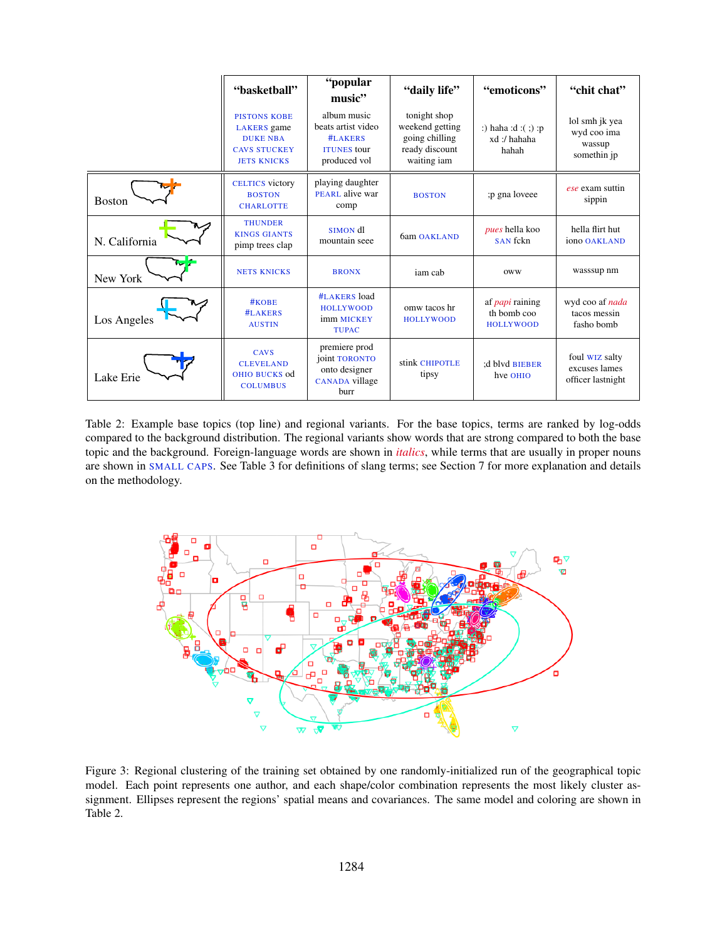|               | "basketball"                                                                                              | "popular<br>music"                                                                 | "daily life"                                                                       | "emoticons"                                               | "chit chat"                                            |
|---------------|-----------------------------------------------------------------------------------------------------------|------------------------------------------------------------------------------------|------------------------------------------------------------------------------------|-----------------------------------------------------------|--------------------------------------------------------|
|               | <b>PISTONS KOBE</b><br><b>LAKERS</b> game<br><b>DUKE NBA</b><br><b>CAVS STUCKEY</b><br><b>JETS KNICKS</b> | album music<br>beats artist video<br>#LAKERS<br><b>ITUNES</b> tour<br>produced vol | tonight shop<br>weekend getting<br>going chilling<br>ready discount<br>waiting iam | :) haha :d :( ;) :p<br>xd:/hahaha<br>hahah                | lol smh jk yea<br>wyd coo ima<br>wassup<br>somethin jp |
| <b>Boston</b> | <b>CELTICS</b> victory<br><b>BOSTON</b><br><b>CHARLOTTE</b>                                               | playing daughter<br>PEARL alive war<br>comp                                        | <b>BOSTON</b>                                                                      | p gna loveee                                              | ese exam suttin<br>sippin                              |
| N. California | <b>THUNDER</b><br><b>KINGS GIANTS</b><br>pimp trees clap                                                  | SIMON dl<br>mountain seee                                                          | 6am OAKLAND                                                                        | <i>pues</i> hella koo<br>SAN fckn                         | hella flirt hut<br>iono OAKLAND                        |
| New York      | <b>NETS KNICKS</b>                                                                                        | <b>BRONX</b>                                                                       | iam cab                                                                            | <b>OWW</b>                                                | wasssup nm                                             |
| Los Angeles   | #KOBE<br>#LAKERS<br><b>AUSTIN</b>                                                                         | #LAKERS load<br><b>HOLLYWOOD</b><br>imm MICKEY<br><b>TUPAC</b>                     | omw tacos hr<br><b>HOLLYWOOD</b>                                                   | af <i>papi</i> raining<br>th bomb coo<br><b>HOLLYWOOD</b> | wyd coo af nada<br>tacos messin<br>fasho bomb          |
| Lake Erie     | <b>CAVS</b><br><b>CLEVELAND</b><br>OHIO BUCKS od<br><b>COLUMBUS</b>                                       | premiere prod<br>joint TORONTO<br>onto designer<br>CANADA village<br>burr          | stink CHIPOTLE<br>tipsy                                                            | :d blvd BIEBER<br>hve OHIO                                | foul WIZ salty<br>excuses lames<br>officer lastnight   |

Table 2: Example base topics (top line) and regional variants. For the base topics, terms are ranked by log-odds compared to the background distribution. The regional variants show words that are strong compared to both the base topic and the background. Foreign-language words are shown in *italics*, while terms that are usually in proper nouns are shown in SMALL CAPS. See Table 3 for definitions of slang terms; see Section 7 for more explanation and details on the methodology.



Figure 3: Regional clustering of the training set obtained by one randomly-initialized run of the geographical topic model. Each point represents one author, and each shape/color combination represents the most likely cluster assignment. Ellipses represent the regions' spatial means and covariances. The same model and coloring are shown in Table 2.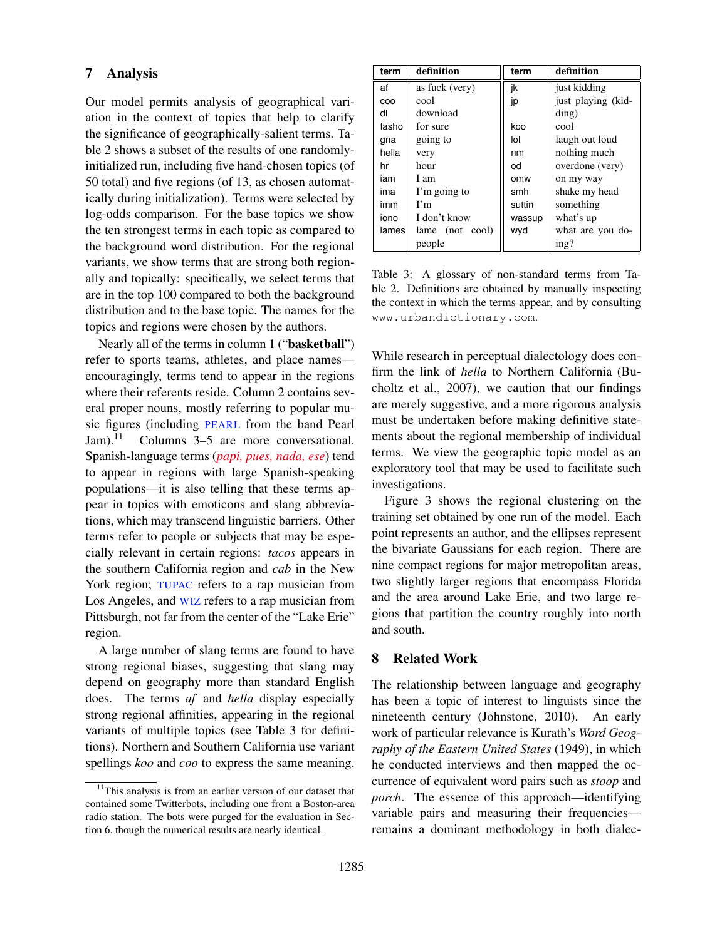# 7 Analysis

Our model permits analysis of geographical variation in the context of topics that help to clarify the significance of geographically-salient terms. Table 2 shows a subset of the results of one randomlyinitialized run, including five hand-chosen topics (of 50 total) and five regions (of 13, as chosen automatically during initialization). Terms were selected by log-odds comparison. For the base topics we show the ten strongest terms in each topic as compared to the background word distribution. For the regional variants, we show terms that are strong both regionally and topically: specifically, we select terms that are in the top 100 compared to both the background distribution and to the base topic. The names for the topics and regions were chosen by the authors.

Nearly all of the terms in column 1 ("basketball") refer to sports teams, athletes, and place names encouragingly, terms tend to appear in the regions where their referents reside. Column 2 contains several proper nouns, mostly referring to popular music figures (including PEARL from the band Pearl Jam).<sup>11</sup> Columns  $3-5$  are more conversational. Spanish-language terms (*papi, pues, nada, ese*) tend to appear in regions with large Spanish-speaking populations—it is also telling that these terms appear in topics with emoticons and slang abbreviations, which may transcend linguistic barriers. Other terms refer to people or subjects that may be especially relevant in certain regions: *tacos* appears in the southern California region and *cab* in the New York region; TUPAC refers to a rap musician from Los Angeles, and WIZ refers to a rap musician from Pittsburgh, not far from the center of the "Lake Erie" region.

A large number of slang terms are found to have strong regional biases, suggesting that slang may depend on geography more than standard English does. The terms *af* and *hella* display especially strong regional affinities, appearing in the regional variants of multiple topics (see Table 3 for definitions). Northern and Southern California use variant spellings *koo* and *coo* to express the same meaning.

| term  | definition      | term   | definition         |  |
|-------|-----------------|--------|--------------------|--|
| af    | as fuck (very)  | ik     | just kidding       |  |
| COO   | cool            | jp     | just playing (kid- |  |
| dl    | download        |        | $\dim g$ )         |  |
| fasho | for sure        | koo    | cool               |  |
| gna   | going to        | lol    | laugh out loud     |  |
| hella | very            | nm     | nothing much       |  |
| hr    | hour            | od     | overdone (very)    |  |
| iam   | I am            | omw    | on my way          |  |
| ima   | I'm going to    | smh    | shake my head      |  |
| imm   | $\Gamma$ m      | suttin | something          |  |
| iono  | I don't know    | wassup | what's up          |  |
| lames | lame (not cool) | wyd    | what are you do-   |  |
|       | people          |        | ing?               |  |

Table 3: A glossary of non-standard terms from Table 2. Definitions are obtained by manually inspecting the context in which the terms appear, and by consulting www.urbandictionary.com.

While research in perceptual dialectology does confirm the link of *hella* to Northern California (Bucholtz et al., 2007), we caution that our findings are merely suggestive, and a more rigorous analysis must be undertaken before making definitive statements about the regional membership of individual terms. We view the geographic topic model as an exploratory tool that may be used to facilitate such investigations.

Figure 3 shows the regional clustering on the training set obtained by one run of the model. Each point represents an author, and the ellipses represent the bivariate Gaussians for each region. There are nine compact regions for major metropolitan areas, two slightly larger regions that encompass Florida and the area around Lake Erie, and two large regions that partition the country roughly into north and south.

# 8 Related Work

The relationship between language and geography has been a topic of interest to linguists since the nineteenth century (Johnstone, 2010). An early work of particular relevance is Kurath's *Word Geography of the Eastern United States* (1949), in which he conducted interviews and then mapped the occurrence of equivalent word pairs such as *stoop* and *porch*. The essence of this approach—identifying variable pairs and measuring their frequencies remains a dominant methodology in both dialec-

<sup>&</sup>lt;sup>11</sup>This analysis is from an earlier version of our dataset that contained some Twitterbots, including one from a Boston-area radio station. The bots were purged for the evaluation in Section 6, though the numerical results are nearly identical.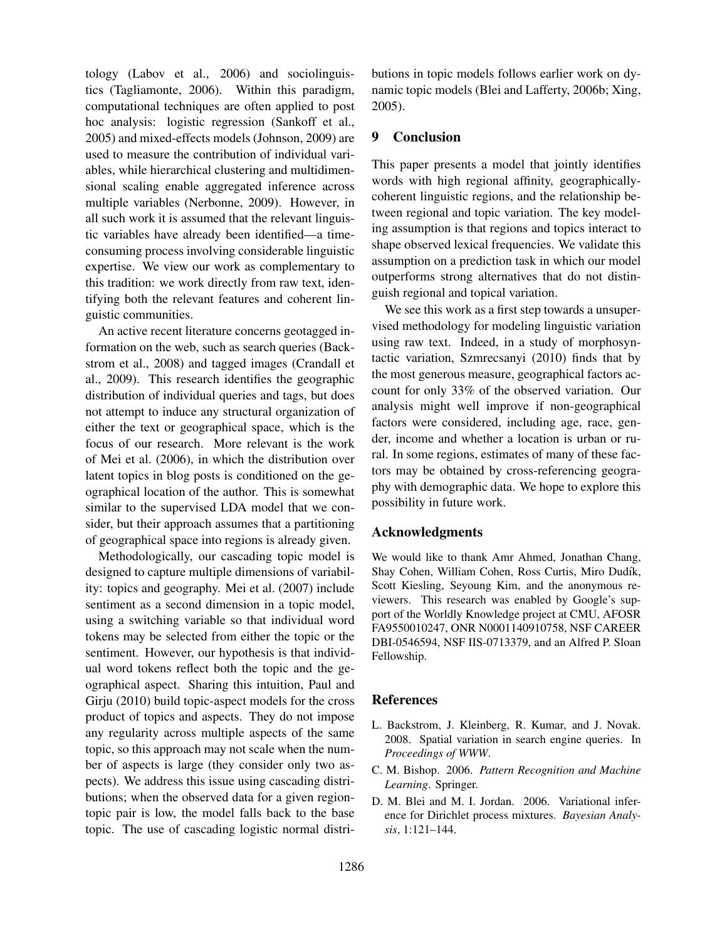tology (Labov et al., 2006) and sociolinguistics (Tagliamonte, 2006). Within this paradigm, computational techniques are often applied to post hoc analysis: logistic regression (Sankoff et al., 2005) and mixed-effects models (Johnson, 2009) are used to measure the contribution of individual variables, while hierarchical clustering and multidimensional scaling enable aggregated inference across multiple variables (Nerbonne, 2009). However, in all such work it is assumed that the relevant linguistic variables have already been identified—a timeconsuming process involving considerable linguistic expertise. We view our work as complementary to this tradition: we work directly from raw text, identifying both the relevant features and coherent linguistic communities.

An active recent literature concerns geotagged information on the web, such as search queries (Backstrom et al., 2008) and tagged images (Crandall et al., 2009). This research identifies the geographic distribution of individual queries and tags, but does not attempt to induce any structural organization of either the text or geographical space, which is the focus of our research. More relevant is the work of Mei et al. (2006), in which the distribution over latent topics in blog posts is conditioned on the geographical location of the author. This is somewhat similar to the supervised LDA model that we consider, but their approach assumes that a partitioning of geographical space into regions is already given.

Methodologically, our cascading topic model is designed to capture multiple dimensions of variability: topics and geography. Mei et al. (2007) include sentiment as a second dimension in a topic model, using a switching variable so that individual word tokens may be selected from either the topic or the sentiment. However, our hypothesis is that individual word tokens reflect both the topic and the geographical aspect. Sharing this intuition, Paul and Girju (2010) build topic-aspect models for the cross product of topics and aspects. They do not impose any regularity across multiple aspects of the same topic, so this approach may not scale when the number of aspects is large (they consider only two aspects). We address this issue using cascading distributions; when the observed data for a given regiontopic pair is low, the model falls back to the base topic. The use of cascading logistic normal distributions in topic models follows earlier work on dynamic topic models (Blei and Lafferty, 2006b; Xing, 2005).

# 9 Conclusion

This paper presents a model that jointly identifies words with high regional affinity, geographicallycoherent linguistic regions, and the relationship between regional and topic variation. The key modeling assumption is that regions and topics interact to shape observed lexical frequencies. We validate this assumption on a prediction task in which our model outperforms strong alternatives that do not distinguish regional and topical variation.

We see this work as a first step towards a unsupervised methodology for modeling linguistic variation using raw text. Indeed, in a study of morphosyntactic variation, Szmrecsanyi (2010) finds that by the most generous measure, geographical factors account for only 33% of the observed variation. Our analysis might well improve if non-geographical factors were considered, including age, race, gender, income and whether a location is urban or rural. In some regions, estimates of many of these factors may be obtained by cross-referencing geography with demographic data. We hope to explore this possibility in future work.

### Acknowledgments

We would like to thank Amr Ahmed, Jonathan Chang, Shay Cohen, William Cohen, Ross Curtis, Miro Dudík, Scott Kiesling, Seyoung Kim, and the anonymous reviewers. This research was enabled by Google's support of the Worldly Knowledge project at CMU, AFOSR FA9550010247, ONR N0001140910758, NSF CAREER DBI-0546594, NSF IIS-0713379, and an Alfred P. Sloan Fellowship.

## References

- L. Backstrom, J. Kleinberg, R. Kumar, and J. Novak. 2008. Spatial variation in search engine queries. In *Proceedings of WWW*.
- C. M. Bishop. 2006. *Pattern Recognition and Machine Learning*. Springer.
- D. M. Blei and M. I. Jordan. 2006. Variational inference for Dirichlet process mixtures. *Bayesian Analysis*, 1:121–144.